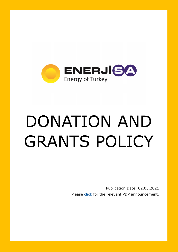

## DONATION AND GRANTS POLICY

Publication Date: 02.03.2021 Please [click](https://www.kap.org.tr/en/Bildirim/914577) for the relevant PDP announcement.